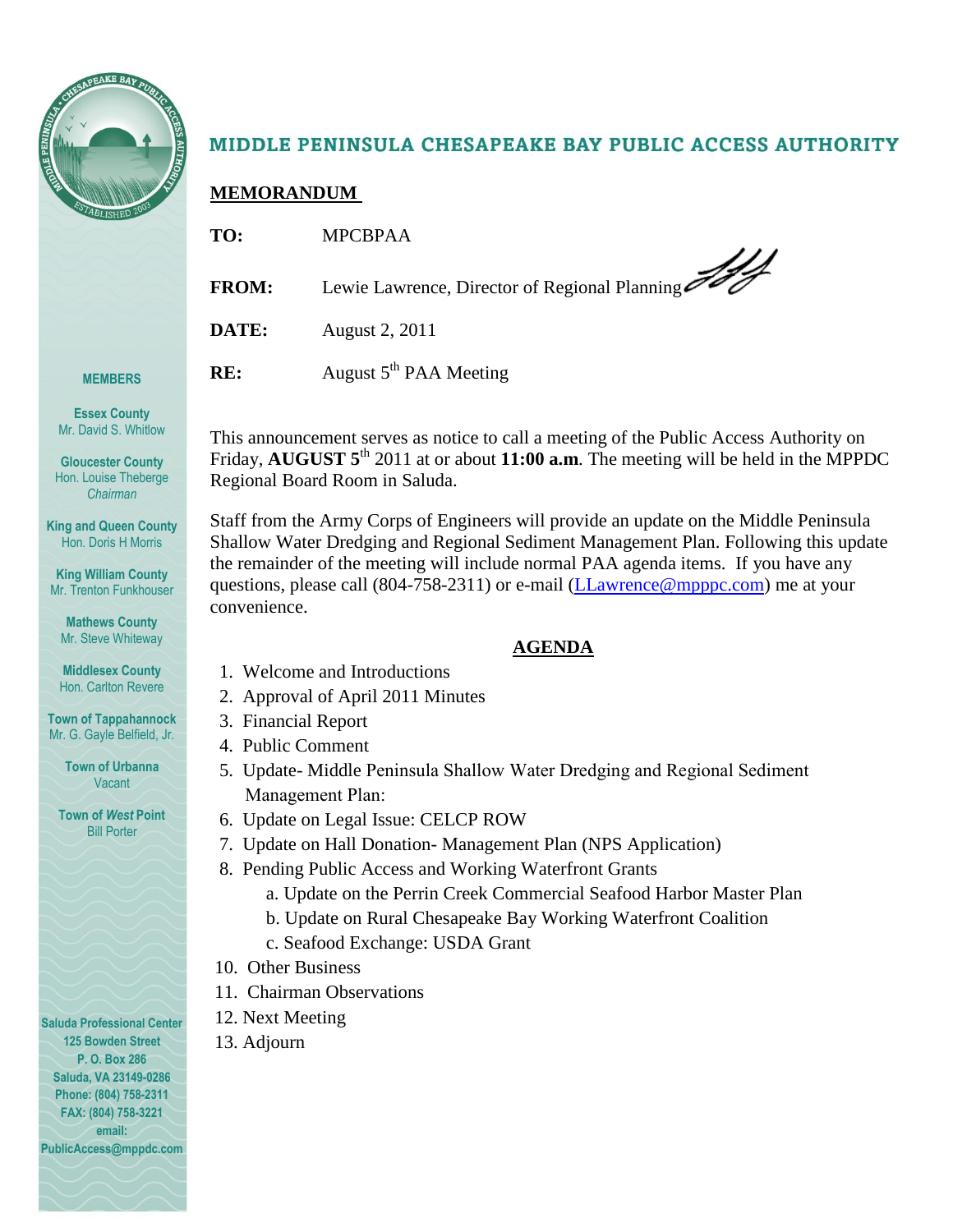

**MEMBERS**

**Essex County** Mr. David S. Whitlow

**Gloucester County** Hon. Louise Theberge *Chairman*

**King and Queen County** Hon. Doris H Morris

# MIDDLE PENINSULA CHESAPEAKE BAY PUBLIC ACCESS AUTHORITY

# **MEMORANDUM**

| TO:          | <b>MPCBPAA</b>                                |
|--------------|-----------------------------------------------|
| <b>FROM:</b> | Lewie Lawrence, Director of Regional Planning |
| DATE:        | August 2, 2011                                |
| RE:          | August 5 <sup>th</sup> PAA Meeting            |

This announcement serves as notice to call a meeting of the Public Access Authority on Friday, AUGUST  $5<sup>th</sup>$  2011 at or about 11:00 **a.m**. The meeting will be held in the MPPDC Regional Board Room in Saluda.

Staff from the Army Corps of Engineers will provide an update on the Middle Peninsula Shallow Water Dredging and Regional Sediment Management Plan. Following this update the remainder of the meeting will include normal PAA agenda items. If you have any questions, please call (804-758-2311) or e-mail [\(LLawrence@mpppc.com\)](mailto:LLawrence@mpppc.com) me at your convenience.

## **AGENDA**

- 1. Welcome and Introductions
- 2. Approval of April 2011 Minutes
- 3. Financial Report
- 4. Public Comment
- 5. Update- Middle Peninsula Shallow Water Dredging and Regional Sediment Management Plan:
- 6. Update on Legal Issue: CELCP ROW
- 7. Update on Hall Donation- Management Plan (NPS Application)
- 8. Pending Public Access and Working Waterfront Grants
	- a. Update on the Perrin Creek Commercial Seafood Harbor Master Plan
	- b. Update on Rural Chesapeake Bay Working Waterfront Coalition
	- c. Seafood Exchange: USDA Grant
- 10. Other Business
- 11. Chairman Observations
- 12. Next Meeting
- 13. Adjourn

**Saluda Professional Center 125 Bowden Street P. O. Box 286 Saluda, VA 23149-0286 Phone: (804) 758-2311 FAX: (804) 758-3221 email: PublicAccess@mppdc.com** 

**King William County** Mr. Trenton Funkhouser

**Mathews County** Mr. Steve Whiteway

**Middlesex County** Hon. Carlton Revere

**Town of Tappahannock** Mr. G. Gayle Belfield, Jr.

> **Town of Urbanna** Vacant

**Town of** *West* **Point** Bill Porter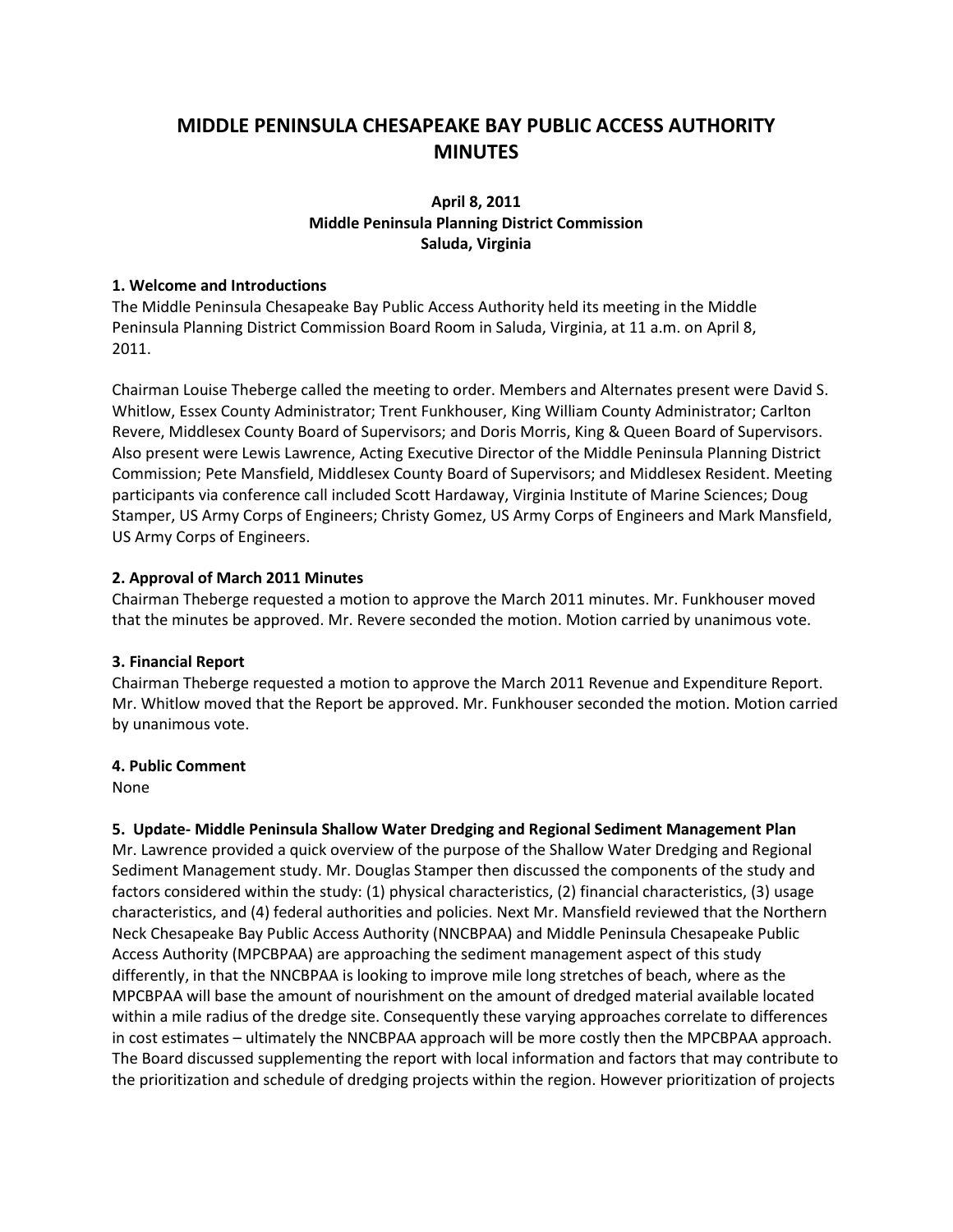# **MIDDLE PENINSULA CHESAPEAKE BAY PUBLIC ACCESS AUTHORITY MINUTES**

### **April 8, 2011 Middle Peninsula Planning District Commission Saluda, Virginia**

#### **1. Welcome and Introductions**

The Middle Peninsula Chesapeake Bay Public Access Authority held its meeting in the Middle Peninsula Planning District Commission Board Room in Saluda, Virginia, at 11 a.m. on April 8, 2011.

Chairman Louise Theberge called the meeting to order. Members and Alternates present were David S. Whitlow, Essex County Administrator; Trent Funkhouser, King William County Administrator; Carlton Revere, Middlesex County Board of Supervisors; and Doris Morris, King & Queen Board of Supervisors. Also present were Lewis Lawrence, Acting Executive Director of the Middle Peninsula Planning District Commission; Pete Mansfield, Middlesex County Board of Supervisors; and Middlesex Resident. Meeting participants via conference call included Scott Hardaway, Virginia Institute of Marine Sciences; Doug Stamper, US Army Corps of Engineers; Christy Gomez, US Army Corps of Engineers and Mark Mansfield, US Army Corps of Engineers.

#### **2. Approval of March 2011 Minutes**

Chairman Theberge requested a motion to approve the March 2011 minutes. Mr. Funkhouser moved that the minutes be approved. Mr. Revere seconded the motion. Motion carried by unanimous vote.

#### **3. Financial Report**

Chairman Theberge requested a motion to approve the March 2011 Revenue and Expenditure Report. Mr. Whitlow moved that the Report be approved. Mr. Funkhouser seconded the motion. Motion carried by unanimous vote.

#### **4. Public Comment**

None

#### **5. Update- Middle Peninsula Shallow Water Dredging and Regional Sediment Management Plan**

Mr. Lawrence provided a quick overview of the purpose of the Shallow Water Dredging and Regional Sediment Management study. Mr. Douglas Stamper then discussed the components of the study and factors considered within the study: (1) physical characteristics, (2) financial characteristics, (3) usage characteristics, and (4) federal authorities and policies. Next Mr. Mansfield reviewed that the Northern Neck Chesapeake Bay Public Access Authority (NNCBPAA) and Middle Peninsula Chesapeake Public Access Authority (MPCBPAA) are approaching the sediment management aspect of this study differently, in that the NNCBPAA is looking to improve mile long stretches of beach, where as the MPCBPAA will base the amount of nourishment on the amount of dredged material available located within a mile radius of the dredge site. Consequently these varying approaches correlate to differences in cost estimates – ultimately the NNCBPAA approach will be more costly then the MPCBPAA approach. The Board discussed supplementing the report with local information and factors that may contribute to the prioritization and schedule of dredging projects within the region. However prioritization of projects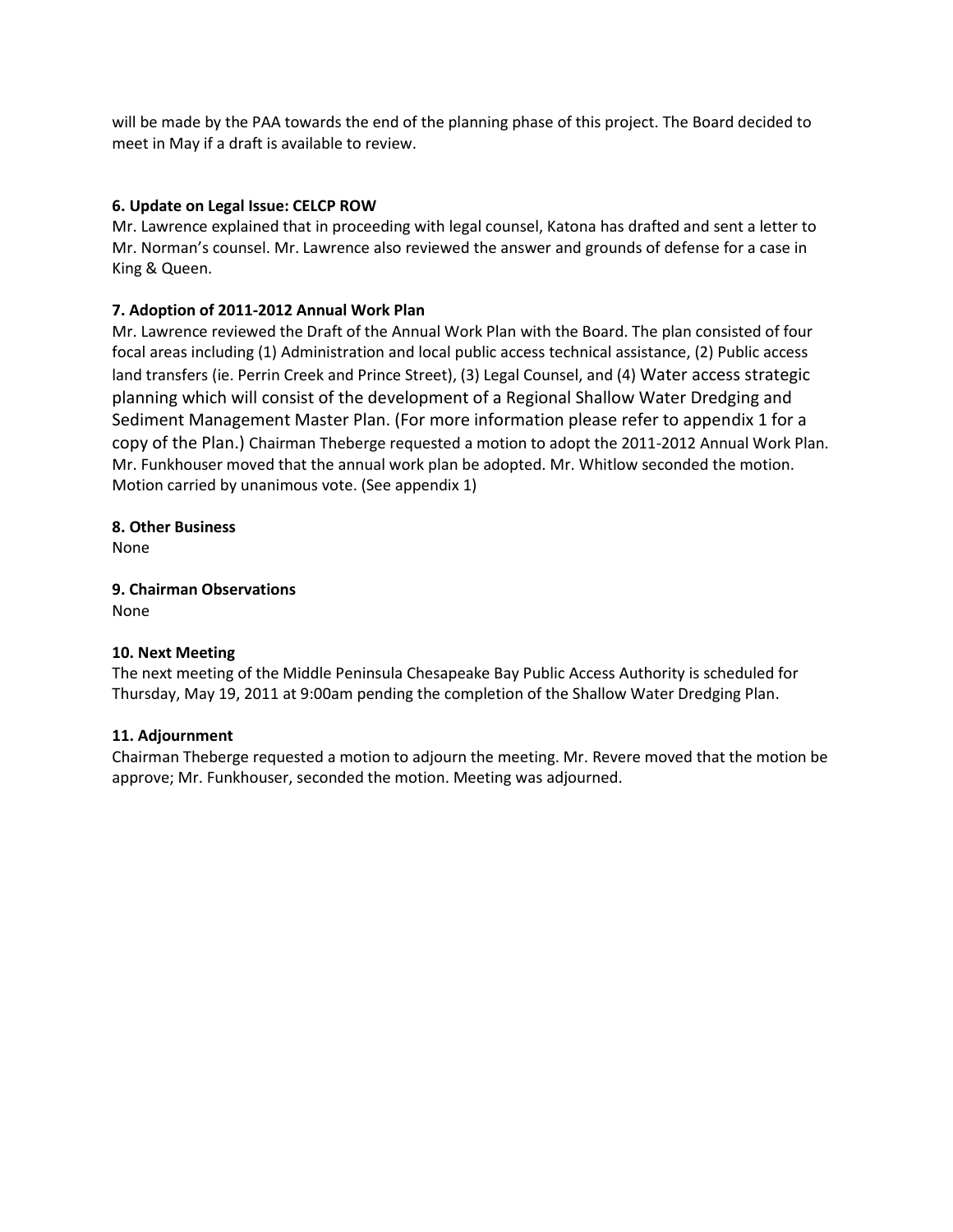will be made by the PAA towards the end of the planning phase of this project. The Board decided to meet in May if a draft is available to review.

### **6. Update on Legal Issue: CELCP ROW**

Mr. Lawrence explained that in proceeding with legal counsel, Katona has drafted and sent a letter to Mr. Norman's counsel. Mr. Lawrence also reviewed the answer and grounds of defense for a case in King & Queen.

### **7. Adoption of 2011-2012 Annual Work Plan**

Mr. Lawrence reviewed the Draft of the Annual Work Plan with the Board. The plan consisted of four focal areas including (1) Administration and local public access technical assistance, (2) Public access land transfers (ie. Perrin Creek and Prince Street), (3) Legal Counsel, and (4) Water access strategic planning which will consist of the development of a Regional Shallow Water Dredging and Sediment Management Master Plan. (For more information please refer to appendix 1 for a copy of the Plan.) Chairman Theberge requested a motion to adopt the 2011-2012 Annual Work Plan. Mr. Funkhouser moved that the annual work plan be adopted. Mr. Whitlow seconded the motion. Motion carried by unanimous vote. (See appendix 1)

**8. Other Business** None

**9. Chairman Observations** None

#### **10. Next Meeting**

The next meeting of the Middle Peninsula Chesapeake Bay Public Access Authority is scheduled for Thursday, May 19, 2011 at 9:00am pending the completion of the Shallow Water Dredging Plan.

#### **11. Adjournment**

Chairman Theberge requested a motion to adjourn the meeting. Mr. Revere moved that the motion be approve; Mr. Funkhouser, seconded the motion. Meeting was adjourned.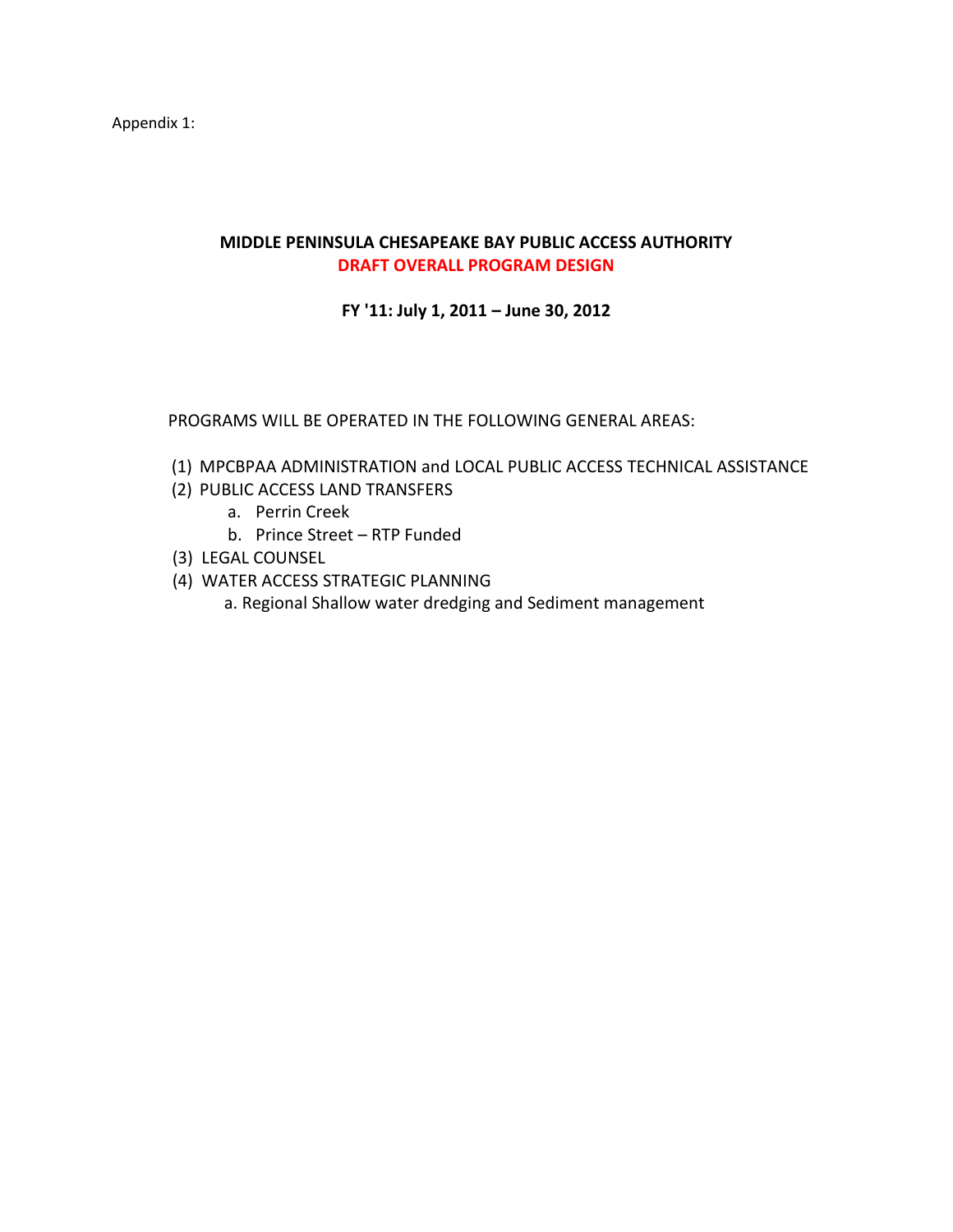Appendix 1:

## **MIDDLE PENINSULA CHESAPEAKE BAY PUBLIC ACCESS AUTHORITY DRAFT OVERALL PROGRAM DESIGN**

**FY '11: July 1, 2011 – June 30, 2012**

PROGRAMS WILL BE OPERATED IN THE FOLLOWING GENERAL AREAS:

- (1) MPCBPAA ADMINISTRATION and LOCAL PUBLIC ACCESS TECHNICAL ASSISTANCE
- (2) PUBLIC ACCESS LAND TRANSFERS
	- a. Perrin Creek
	- b. Prince Street RTP Funded
- (3) LEGAL COUNSEL
- (4) WATER ACCESS STRATEGIC PLANNING
	- a. Regional Shallow water dredging and Sediment management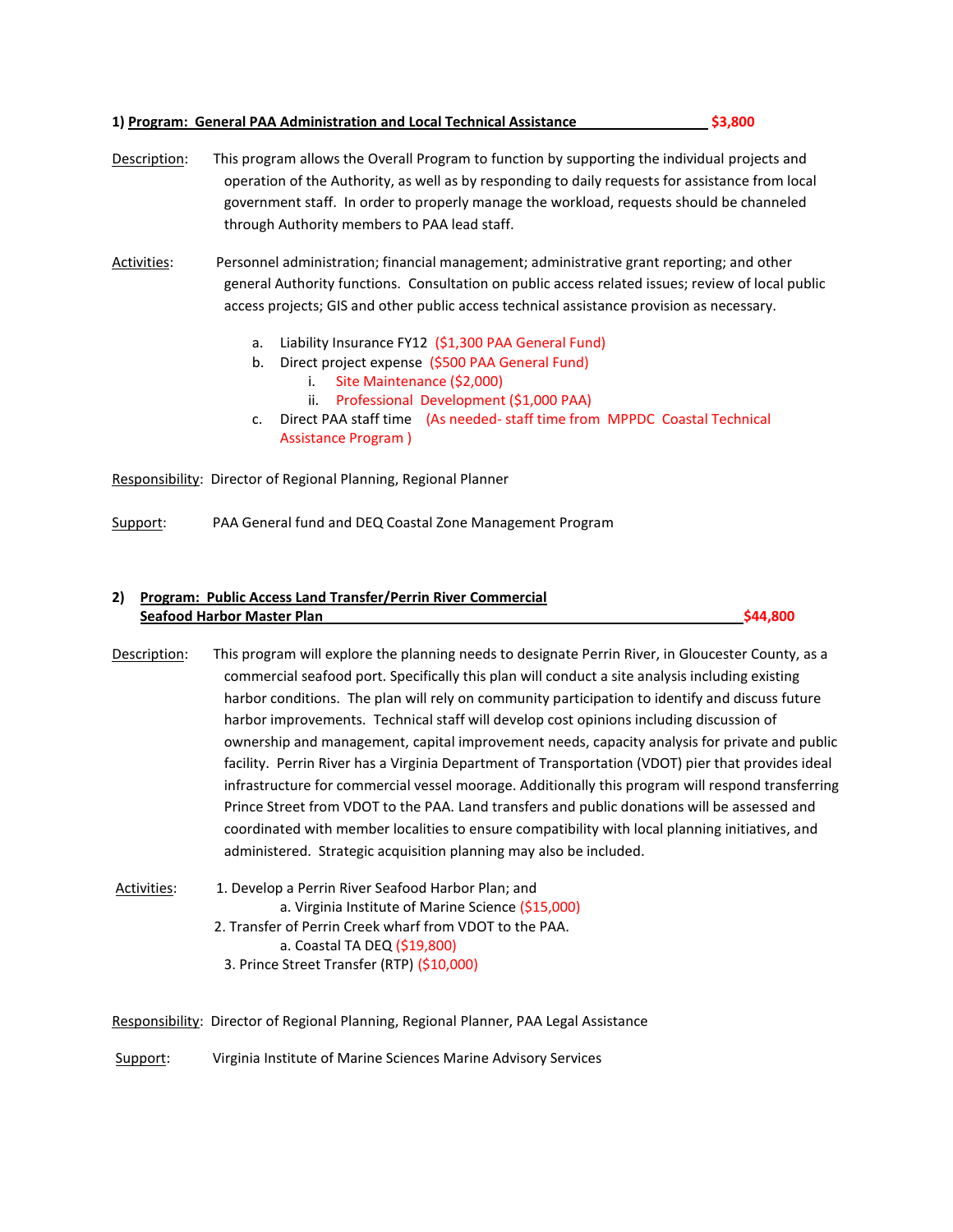#### **1) Program: General PAA Administration and Local Technical Assistance \$3,800**

- 
- Description: This program allows the Overall Program to function by supporting the individual projects and operation of the Authority, as well as by responding to daily requests for assistance from local government staff. In order to properly manage the workload, requests should be channeled through Authority members to PAA lead staff.

Activities: Personnel administration; financial management; administrative grant reporting; and other general Authority functions. Consultation on public access related issues; review of local public access projects; GIS and other public access technical assistance provision as necessary.

- a. Liability Insurance FY12 (\$1,300 PAA General Fund)
- b. Direct project expense (\$500 PAA General Fund)
	- i. Site Maintenance (\$2,000)
	- ii. Professional Development (\$1,000 PAA)
- c. Direct PAA staff time (As needed- staff time from MPPDC Coastal Technical Assistance Program )

Responsibility: Director of Regional Planning, Regional Planner

Support: PAA General fund and DEQ Coastal Zone Management Program

#### **2) Program: Public Access Land Transfer/Perrin River Commercial Seafood Harbor Master Plan \$44,800**

- Description: This program will explore the planning needs to designate Perrin River, in Gloucester County, as a commercial seafood port. Specifically this plan will conduct a site analysis including existing harbor conditions. The plan will rely on community participation to identify and discuss future harbor improvements. Technical staff will develop cost opinions including discussion of ownership and management, capital improvement needs, capacity analysis for private and public facility. Perrin River has a Virginia Department of Transportation (VDOT) pier that provides ideal infrastructure for commercial vessel moorage. Additionally this program will respond transferring Prince Street from VDOT to the PAA. Land transfers and public donations will be assessed and coordinated with member localities to ensure compatibility with local planning initiatives, and administered. Strategic acquisition planning may also be included.
- Activities: 1. Develop a Perrin River Seafood Harbor Plan; and a. Virginia Institute of Marine Science (\$15,000) 2. Transfer of Perrin Creek wharf from VDOT to the PAA. a. Coastal TA DEQ (\$19,800)
	- 3. Prince Street Transfer (RTP) (\$10,000)
- Responsibility: Director of Regional Planning, Regional Planner, PAA Legal Assistance

Support: Virginia Institute of Marine Sciences Marine Advisory Services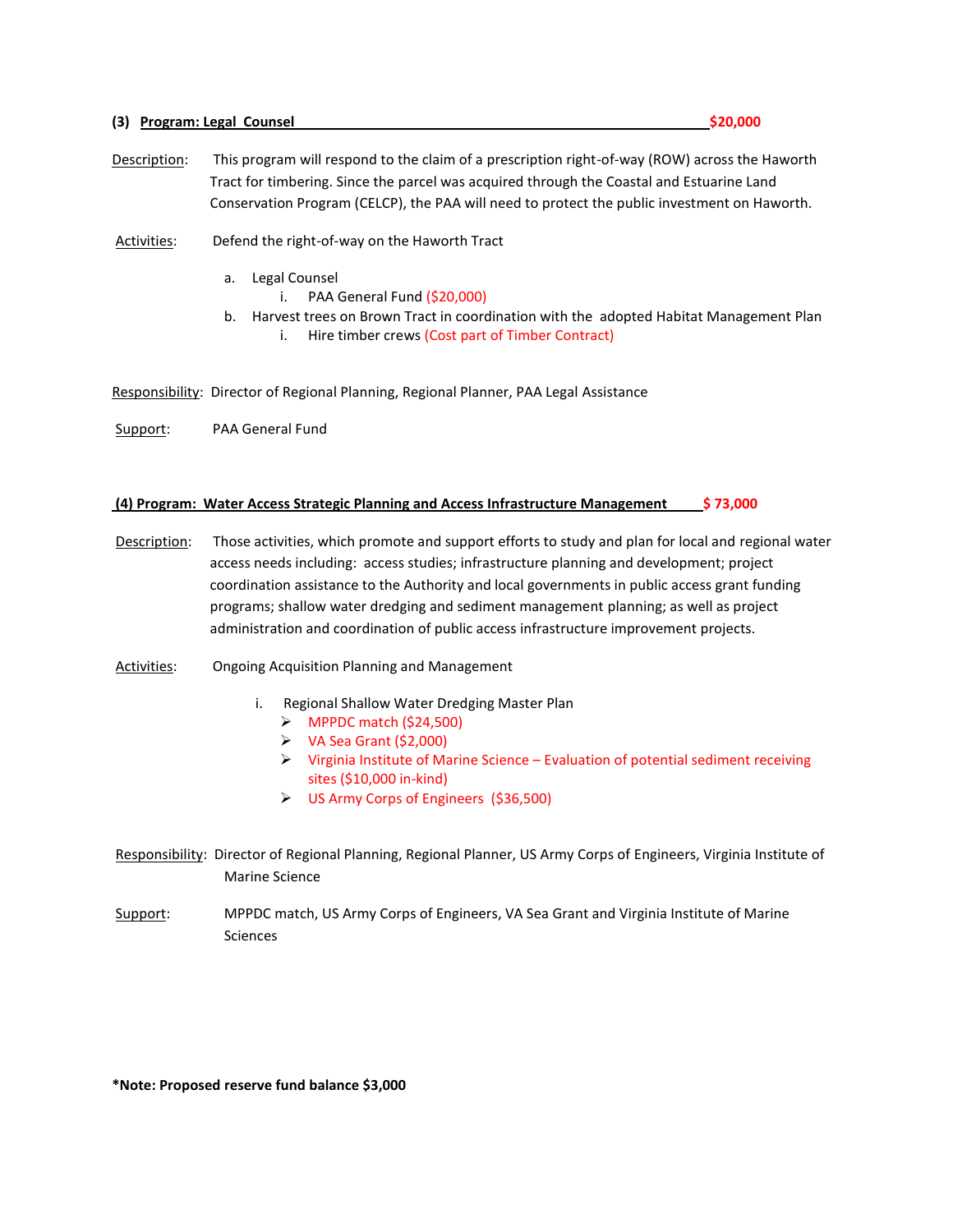#### **(3) Program: Legal Counsel \$20,000**

- Description: This program will respond to the claim of a prescription right-of-way (ROW) across the Haworth Tract for timbering. Since the parcel was acquired through the Coastal and Estuarine Land Conservation Program (CELCP), the PAA will need to protect the public investment on Haworth.
- Activities: Defend the right-of-way on the Haworth Tract
	- a. Legal Counsel
		- i. PAA General Fund (\$20,000)
	- b. Harvest trees on Brown Tract in coordination with the adopted Habitat Management Plan i. Hire timber crews (Cost part of Timber Contract)
- Responsibility: Director of Regional Planning, Regional Planner, PAA Legal Assistance
- Support: PAA General Fund

#### **(4) Program: Water Access Strategic Planning and Access Infrastructure Management \$ 73,000**

- Description: Those activities, which promote and support efforts to study and plan for local and regional water access needs including: access studies; infrastructure planning and development; project coordination assistance to the Authority and local governments in public access grant funding programs; shallow water dredging and sediment management planning; as well as project administration and coordination of public access infrastructure improvement projects.
- Activities: Ongoing Acquisition Planning and Management
	- i. Regional Shallow Water Dredging Master Plan
		- $\triangleright$  MPPDC match (\$24,500)
		- $\triangleright$  VA Sea Grant (\$2,000)
		- $\triangleright$  Virginia Institute of Marine Science Evaluation of potential sediment receiving sites (\$10,000 in-kind)
		- US Army Corps of Engineers (\$36,500)
- Responsibility: Director of Regional Planning, Regional Planner, US Army Corps of Engineers, Virginia Institute of Marine Science
- Support: MPPDC match, US Army Corps of Engineers, VA Sea Grant and Virginia Institute of Marine Sciences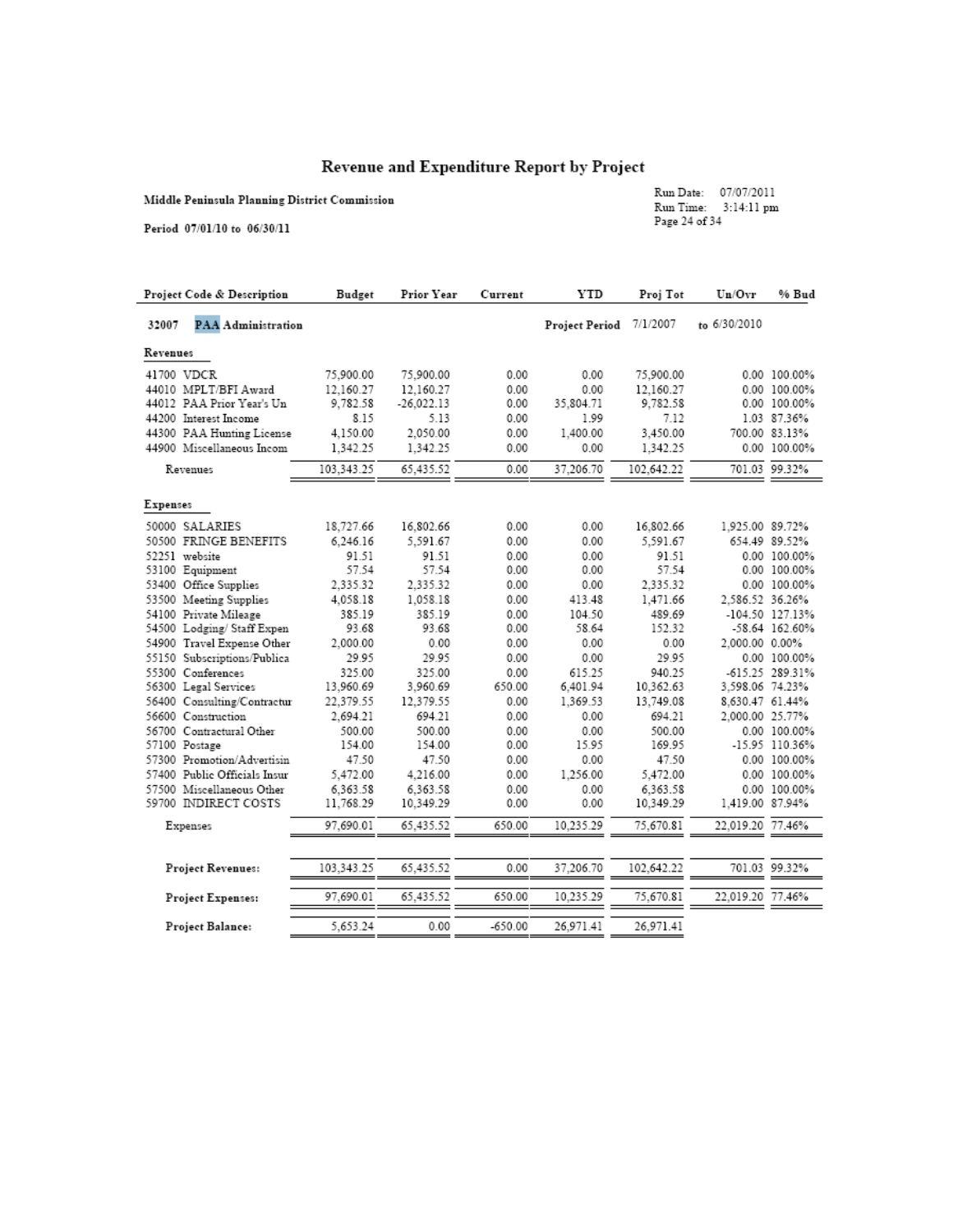# Revenue and Expenditure Report by Project

Middle Peninsula Planning District Commission

Run Date: 07/07/2011<br>Run Time: 3:14:11 pm<br>Page 24 of 34

Period 07/01/10 to 06/30/11

| Project Code & Description         | Budget     | Prior Year   | Current   | <b>YTD</b>     | Proj Tot   | Un/Ovr           | % Bud           |
|------------------------------------|------------|--------------|-----------|----------------|------------|------------------|-----------------|
| <b>PAA Administration</b><br>32007 |            |              |           | Project Period | 7/1/2007   | to 6/30/2010     |                 |
| Revenues                           |            |              |           |                |            |                  |                 |
| 41700 VDCR                         | 75,900.00  | 75,900.00    | 0.00      | 0.00           | 75,900.00  |                  | 0.00 100.00%    |
| 44010 MPLT/BFI Award               | 12.160.27  | 12.160.27    | 0.00      | 0.00           | 12.160.27  |                  | 0.00 100.00%    |
| 44012 PAA Prior Year's Un          | 9,782.58   | $-26.022.13$ | 0.00      | 35,804.71      | 9,782.58   |                  | 0.00 100.00%    |
| 44200 Interest Income              | 8.15       | 5.13         | 0.00      | 1.99           | 7.12       |                  | 1.03 87.36%     |
| 44300 PAA Hunting License          | 4,150.00   | 2,050.00     | 0.00      | 1.400.00       | 3,450.00   |                  | 700.00 83.13%   |
| 44900 Miscellaneous Incom          | 1.342.25   | 1.342.25     | 0.00      | 0.00           | 1,342.25   |                  | 0.00 100.00%    |
| Revenues                           | 103,343.25 | 65.435.52    | 0.00      | 37,206.70      | 102.642.22 |                  | 701.03 99.32%   |
|                                    |            |              |           |                |            |                  |                 |
| Expenses                           |            |              |           |                |            |                  |                 |
| 50000 SALARIES                     | 18,727.66  | 16,802.66    | 0.00      | 0.00           | 16,802.66  | 1.925.00 89.72%  |                 |
| 50500 FRINGE BENEFITS              | 6.246.16   | 5.591.67     | 0.00      | 0.00           | 5.591.67   |                  | 654.49 89.52%   |
| 52251 website                      | 91.51      | 91.51        | 0.00      | 0.00           | 91.51      |                  | 0.00 100.00%    |
| 53100 Equipment                    | 57.54      | 57.54        | 0.00      | 0.00           | 57.54      |                  | 0.00 100.00%    |
| 53400 Office Supplies              | 2,335.32   | 2,335.32     | 0.00      | 0.00           | 2.335.32   |                  | 0.00 100.00%    |
| 53500 Meeting Supplies             | 4.058.18   | 1.058.18     | 0.00      | 413.48         | 1.471.66   | 2.586.52 36.26%  |                 |
| 54100 Private Mileage              | 385.19     | 385.19       | 0.00      | 104.50         | 489.69     |                  | -104.50 127.13% |
| 54500 Lodging/Staff Expen          | 93.68      | 93.68        | 0.00      | 58.64          | 152.32     |                  | -58.64 162.60%  |
| 54900 Travel Expense Other         | 2,000.00   | 0.00         | 0.00      | 0.00           | 0.00       | 2,000.00 0.00%   |                 |
| 55150 Subscriptions/Publica        | 29.95      | 29.95        | 0.00      | 0.00           | 29.95      |                  | 0.00 100.00%    |
| 55300 Conferences                  | 325.00     | 325.00       | 0.00      | 615.25         | 940.25     |                  | -615.25 289.31% |
| 56300 Legal Services               | 13.960.69  | 3.960.69     | 650.00    | 6,401.94       | 10.362.63  | 3,598.06 74.23%  |                 |
| 56400 Consulting/Contractur        | 22,379.55  | 12,379.55    | 0.00      | 1.369.53       | 13,749.08  | 8,630.47 61.44%  |                 |
| 56600 Construction                 | 2,694.21   | 694.21       | 0.00      | 0.00           | 694.21     | 2,000.00 25.77%  |                 |
| 56700 Contractural Other           | 500.00     | 500.00       | 0.00      | 0.00           | 500.00     |                  | 0.00 100.00%    |
| 57100 Postage                      | 154.00     | 154.00       | 0.00      | 15.95          | 169.95     |                  | -15.95 110.36%  |
| 57300 Promotion/Advertisin         | 47.50      | 47.50        | 0.00      | 0.00           | 47.50      |                  | 0.00 100.00%    |
| 57400 Public Officials Insur       | 5,472.00   | 4.216.00     | 0.00      | 1,256.00       | 5,472.00   |                  | 0.00 100.00%    |
| 57500 Miscellaneous Other          | 6.363.58   | 6.363.58     | 0.00      | 0.00           | 6.363.58   |                  | 0.00 100.00%    |
| 59700 INDIRECT COSTS               | 11.768.29  | 10.349.29    | 0.00      | 0.00           | 10,349.29  | 1.419.00 87.94%  |                 |
| Expenses                           | 97.690.01  | 65.435.52    | 650.00    | 10.235.29      | 75.670.81  | 22,019.20 77.46% |                 |
|                                    |            |              |           |                |            |                  |                 |
| Project Revenues:                  | 103.343.25 | 65.435.52    | 0.00      | 37,206.70      | 102,642.22 |                  | 701.03 99.32%   |
| Project Expenses:                  | 97.690.01  | 65.435.52    | 650.00    | 10.235.29      | 75.670.81  | 22.019.20 77.46% |                 |
| Project Balance:                   | 5.653.24   | 0.00         | $-650.00$ | 26.971.41      | 26.971.41  |                  |                 |
|                                    |            |              |           |                |            |                  |                 |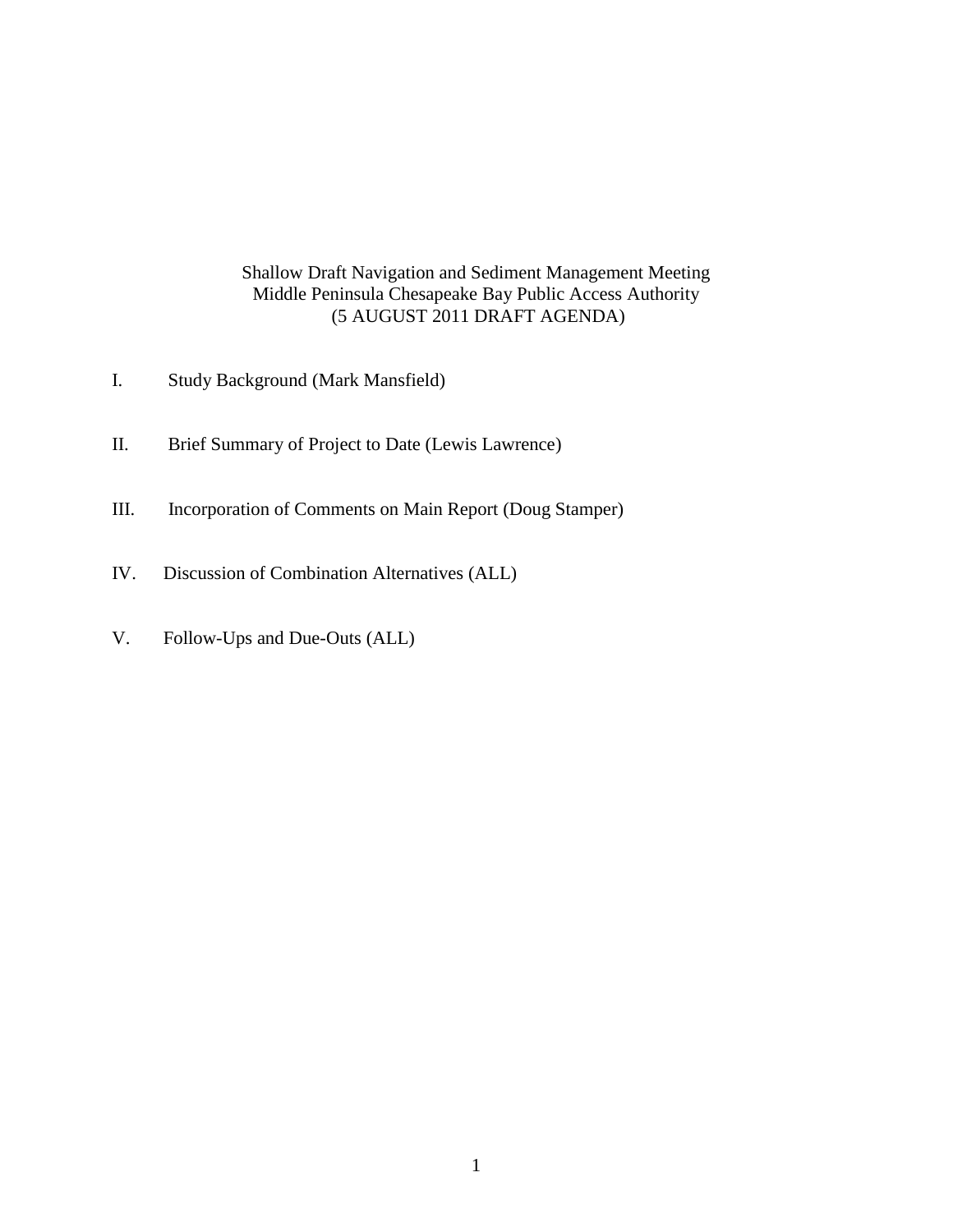## Shallow Draft Navigation and Sediment Management Meeting Middle Peninsula Chesapeake Bay Public Access Authority (5 AUGUST 2011 DRAFT AGENDA)

- I. Study Background (Mark Mansfield)
- II. Brief Summary of Project to Date (Lewis Lawrence)
- III. Incorporation of Comments on Main Report (Doug Stamper)
- IV. Discussion of Combination Alternatives (ALL)
- V. Follow-Ups and Due-Outs (ALL)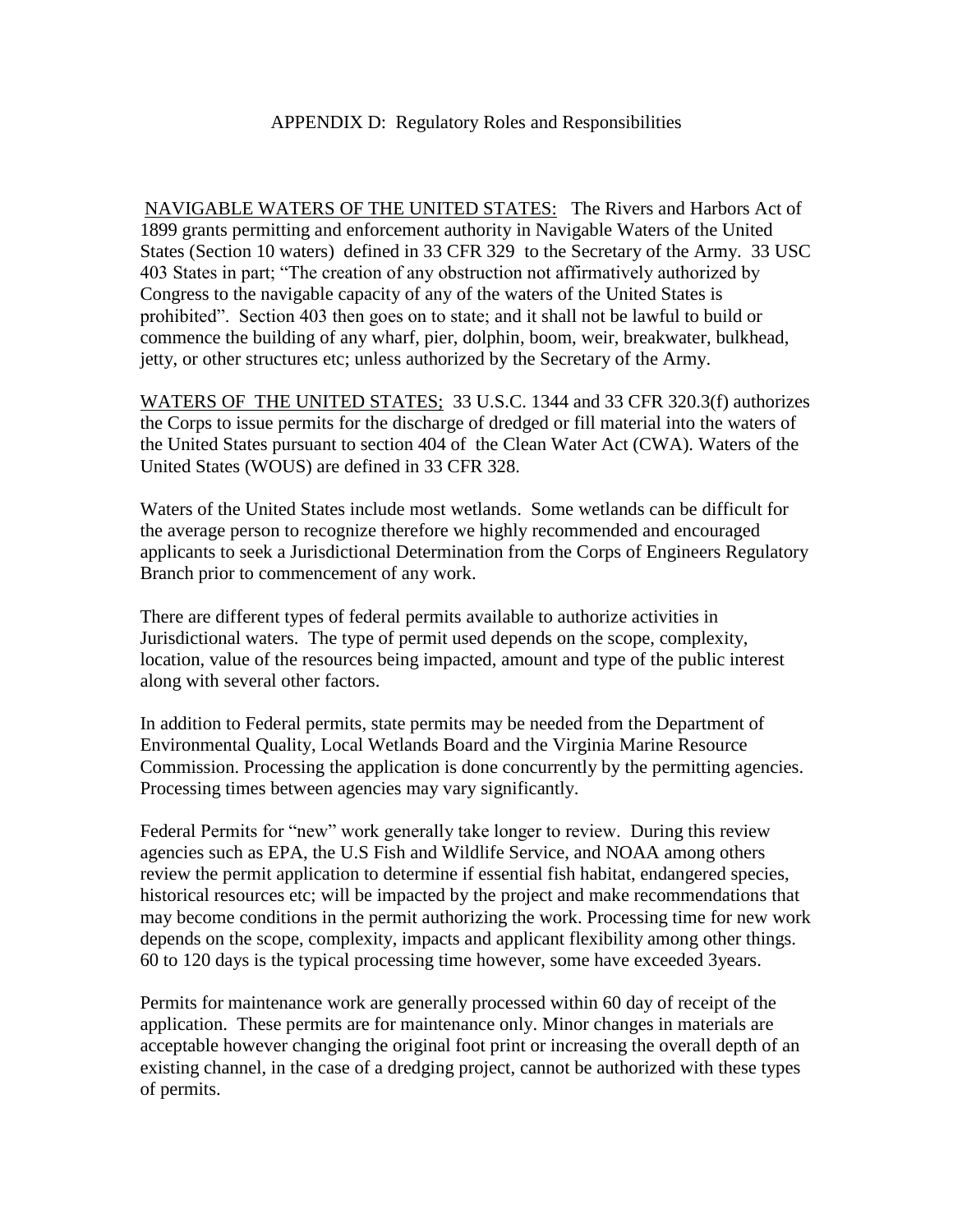### APPENDIX D: Regulatory Roles and Responsibilities

NAVIGABLE WATERS OF THE UNITED STATES:The Rivers and Harbors Act of 1899 grants permitting and enforcement authority in Navigable Waters of the United States (Section 10 waters) defined in 33 CFR 329 to the Secretary of the Army. 33 USC 403 States in part; "The creation of any obstruction not affirmatively authorized by Congress to the navigable capacity of any of the waters of the United States is prohibited". Section 403 then goes on to state; and it shall not be lawful to build or commence the building of any wharf, pier, dolphin, boom, weir, breakwater, bulkhead, jetty, or other structures etc; unless authorized by the Secretary of the Army.

WATERS OF THE UNITED STATES; 33 U.S.C. 1344 and 33 CFR 320.3(f) authorizes the Corps to issue permits for the discharge of dredged or fill material into the waters of the United States pursuant to section 404 of the Clean Water Act (CWA). Waters of the United States (WOUS) are defined in 33 CFR 328.

Waters of the United States include most wetlands. Some wetlands can be difficult for the average person to recognize therefore we highly recommended and encouraged applicants to seek a Jurisdictional Determination from the Corps of Engineers Regulatory Branch prior to commencement of any work.

There are different types of federal permits available to authorize activities in Jurisdictional waters. The type of permit used depends on the scope, complexity, location, value of the resources being impacted, amount and type of the public interest along with several other factors.

In addition to Federal permits, state permits may be needed from the Department of Environmental Quality, Local Wetlands Board and the Virginia Marine Resource Commission. Processing the application is done concurrently by the permitting agencies. Processing times between agencies may vary significantly.

Federal Permits for "new" work generally take longer to review. During this review agencies such as EPA, the U.S Fish and Wildlife Service, and NOAA among others review the permit application to determine if essential fish habitat, endangered species, historical resources etc; will be impacted by the project and make recommendations that may become conditions in the permit authorizing the work. Processing time for new work depends on the scope, complexity, impacts and applicant flexibility among other things. 60 to 120 days is the typical processing time however, some have exceeded 3years.

Permits for maintenance work are generally processed within 60 day of receipt of the application. These permits are for maintenance only. Minor changes in materials are acceptable however changing the original foot print or increasing the overall depth of an existing channel, in the case of a dredging project, cannot be authorized with these types of permits.